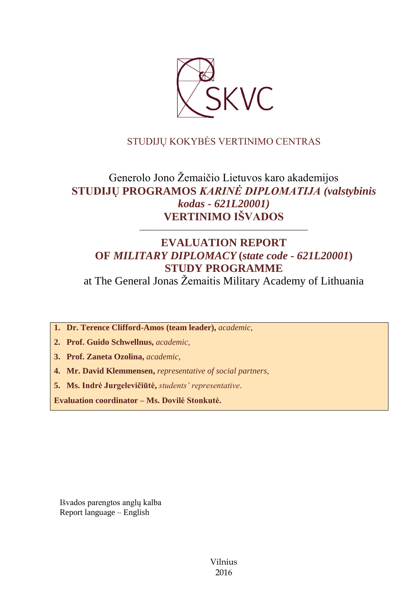

# STUDIJŲ KOKYBĖS VERTINIMO CENTRAS

# Generolo Jono Žemaičio Lietuvos karo akademijos **STUDIJŲ PROGRAMOS** *KARINĖ DIPLOMATIJA (valstybinis kodas - 621L20001)* **VERTINIMO IŠVADOS**

# **EVALUATION REPORT OF** *MILITARY DIPLOMACY* **(***state code - 621L20001***) STUDY PROGRAMME**

––––––––––––––––––––––––––––––

at The General Jonas Žemaitis Military Academy of Lithuania

**1. Dr. Terence Clifford-Amos (team leader),** *academic,*

**2. Prof. Guido Schwellnus,** *academic,*

**3. Prof. Zaneta Ozolina,** *academic,*

**4. Mr. David Klemmensen,** *representative of social partners,*

**5. Ms. Indrė Jurgelevičiūtė,** *students' representative*.

**Evaluation coordinator – Ms. Dovilė Stonkutė.**

Išvados parengtos anglų kalba Report language – English

> Vilnius 2016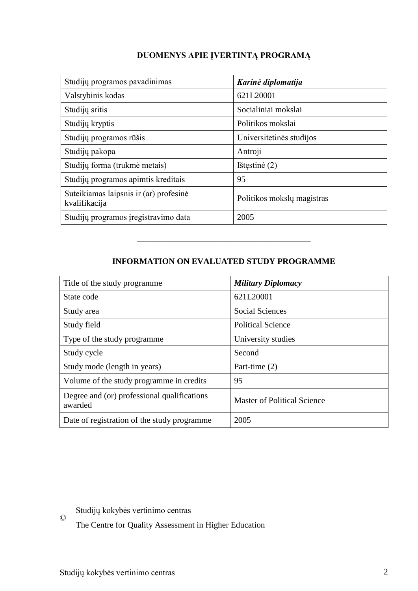# **DUOMENYS APIE ĮVERTINTĄ PROGRAMĄ**

| Studijų programos pavadinimas                           | Karinė diplomatija         |
|---------------------------------------------------------|----------------------------|
| Valstybinis kodas                                       | 621L20001                  |
| Studijų sritis                                          | Socialiniai mokslai        |
| Studijų kryptis                                         | Politikos mokslai          |
| Studijų programos rūšis                                 | Universitetinės studijos   |
| Studijų pakopa                                          | Antroji                    |
| Studijų forma (trukmė metais)                           | Ištęstinė (2)              |
| Studijų programos apimtis kreditais                     | 95                         |
| Suteikiamas laipsnis ir (ar) profesinė<br>kvalifikacija | Politikos mokslų magistras |
| Studijų programos įregistravimo data                    | 2005                       |

# **INFORMATION ON EVALUATED STUDY PROGRAMME**

–––––––––––––––––––––––––––––––

| Title of the study programme.                          | <b>Military Diplomacy</b>          |
|--------------------------------------------------------|------------------------------------|
| State code                                             | 621L20001                          |
| Study area                                             | <b>Social Sciences</b>             |
| Study field                                            | <b>Political Science</b>           |
| Type of the study programme                            | University studies                 |
| Study cycle                                            | Second                             |
| Study mode (length in years)                           | Part-time (2)                      |
| Volume of the study programme in credits               | 95                                 |
| Degree and (or) professional qualifications<br>awarded | <b>Master of Political Science</b> |
| Date of registration of the study programme            | 2005                               |

 $\odot$ Studijų kokybės vertinimo centras

The Centre for Quality Assessment in Higher Education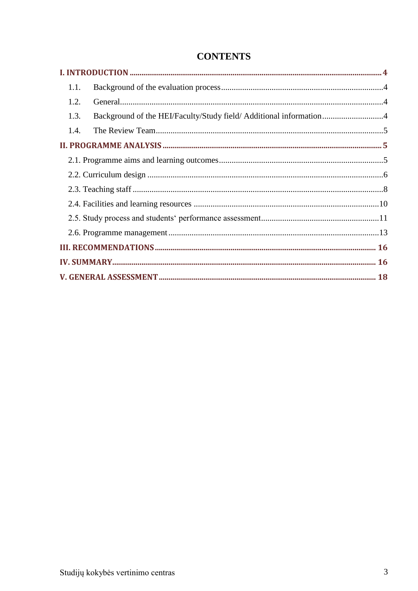| 1.1. |                                                                    |  |
|------|--------------------------------------------------------------------|--|
| 1.2. |                                                                    |  |
| 1.3. | Background of the HEI/Faculty/Study field/ Additional information4 |  |
| 1.4. |                                                                    |  |
|      |                                                                    |  |
|      |                                                                    |  |
|      |                                                                    |  |
|      |                                                                    |  |
|      |                                                                    |  |
|      |                                                                    |  |
|      |                                                                    |  |
|      |                                                                    |  |
|      |                                                                    |  |
|      |                                                                    |  |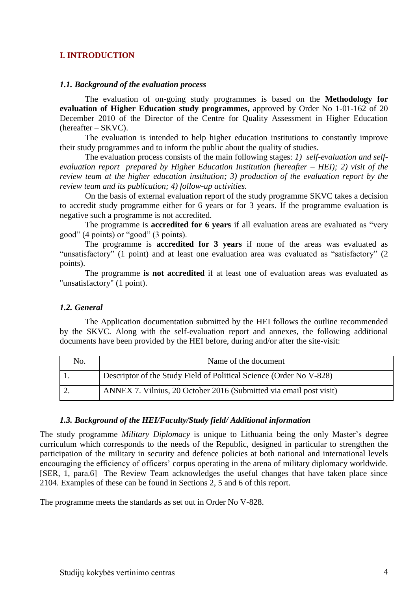#### <span id="page-3-0"></span>**I. INTRODUCTION**

#### <span id="page-3-1"></span>*1.1. Background of the evaluation process*

The evaluation of on-going study programmes is based on the **Methodology for evaluation of Higher Education study programmes,** approved by Order No 1-01-162 of 20 December 2010 of the Director of the Centre for Quality Assessment in Higher Education (hereafter – SKVC).

The evaluation is intended to help higher education institutions to constantly improve their study programmes and to inform the public about the quality of studies.

The evaluation process consists of the main following stages: *1) self-evaluation and selfevaluation report prepared by Higher Education Institution (hereafter – HEI); 2) visit of the review team at the higher education institution; 3) production of the evaluation report by the review team and its publication; 4) follow-up activities.* 

On the basis of external evaluation report of the study programme SKVC takes a decision to accredit study programme either for 6 years or for 3 years. If the programme evaluation is negative such a programme is not accredited.

The programme is **accredited for 6 years** if all evaluation areas are evaluated as "very good" (4 points) or "good" (3 points).

The programme is **accredited for 3 years** if none of the areas was evaluated as "unsatisfactory" (1 point) and at least one evaluation area was evaluated as "satisfactory" (2 points).

The programme **is not accredited** if at least one of evaluation areas was evaluated as "unsatisfactory" (1 point).

#### <span id="page-3-2"></span>*1.2. General*

The Application documentation submitted by the HEI follows the outline recommended by the SKVC. Along with the self-evaluation report and annexes, the following additional documents have been provided by the HEI before, during and/or after the site-visit:

| No. | Name of the document                                                |
|-----|---------------------------------------------------------------------|
|     | Descriptor of the Study Field of Political Science (Order No V-828) |
|     | ANNEX 7. Vilnius, 20 October 2016 (Submitted via email post visit)  |

#### <span id="page-3-4"></span><span id="page-3-3"></span>*1.3. Background of the HEI/Faculty/Study field/ Additional information*

The study programme *Military Diplomacy* is unique to Lithuania being the only Master's degree curriculum which corresponds to the needs of the Republic, designed in particular to strengthen the participation of the military in security and defence policies at both national and international levels encouraging the efficiency of officers' corpus operating in the arena of military diplomacy worldwide. [SER, 1, para.6] The Review Team acknowledges the useful changes that have taken place since 2104. Examples of these can be found in Sections 2, 5 and 6 of this report.

The programme meets the standards as set out in Order No V-828.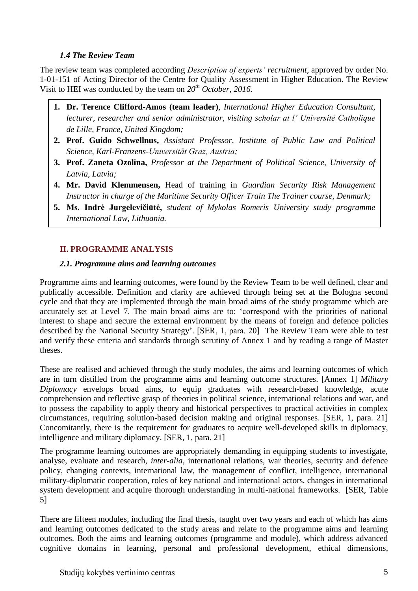## *1.4 The Review Team*

The review team was completed according *Description of experts' recruitment*, approved by order No. 1-01-151 of Acting Director of the Centre for Quality Assessment in Higher Education. The Review Visit to HEI was conducted by the team on *20th October, 2016.*

- **1. Dr. Terence Clifford-Amos (team leader)**, *International Higher Education Consultant, lecturer, researcher and senior administrator, visiting scholar at l' Université Catholique de Lille, France, United Kingdom;*
- **2. Prof. Guido Schwellnus,** *Assistant Professor, Institute of Public Law and Political Science, Karl-Franzens-Universität Graz, Austria;*
- **3. Prof. Zaneta Ozolina,** *Professor at the Department of Political Science, University of Latvia, Latvia;*
- <span id="page-4-0"></span>**4. Mr. David Klemmensen,** Head of training in *Guardian Security Risk Management Instructor in charge of the Maritime Security Officer Train The Trainer course, Denmark;*
- **5. Ms. Indrė Jurgelevičiūtė,** *student of Mykolas Romeris University study programme International Law, Lithuania.*

# **II. PROGRAMME ANALYSIS**

## <span id="page-4-1"></span>*2.1. Programme aims and learning outcomes*

Programme aims and learning outcomes, were found by the Review Team to be well defined, clear and publically accessible. Definition and clarity are achieved through being set at the Bologna second cycle and that they are implemented through the main broad aims of the study programme which are accurately set at Level 7. The main broad aims are to: 'correspond with the priorities of national interest to shape and secure the external environment by the means of foreign and defence policies described by the National Security Strategy'. [SER, 1, para. 20] The Review Team were able to test and verify these criteria and standards through scrutiny of Annex 1 and by reading a range of Master theses.

These are realised and achieved through the study modules, the aims and learning outcomes of which are in turn distilled from the programme aims and learning outcome structures. [Annex 1] *Military Diplomacy* envelops broad aims, to equip graduates with research-based knowledge, acute comprehension and reflective grasp of theories in political science, international relations and war, and to possess the capability to apply theory and historical perspectives to practical activities in complex circumstances, requiring solution-based decision making and original responses. [SER, 1, para. 21] Concomitantly, there is the requirement for graduates to acquire well-developed skills in diplomacy, intelligence and military diplomacy. [SER, 1, para. 21]

The programme learning outcomes are appropriately demanding in equipping students to investigate, analyse, evaluate and research, *inter-alia,* international relations, war theories, security and defence policy, changing contexts, international law, the management of conflict, intelligence, international military-diplomatic cooperation, roles of key national and international actors, changes in international system development and acquire thorough understanding in multi-national frameworks. [SER, Table 5]

There are fifteen modules, including the final thesis, taught over two years and each of which has aims and learning outcomes dedicated to the study areas and relate to the programme aims and learning outcomes. Both the aims and learning outcomes (programme and module), which address advanced cognitive domains in learning, personal and professional development, ethical dimensions,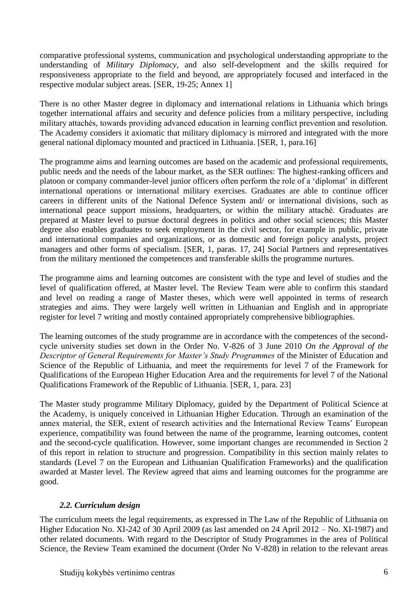comparative professional systems, communication and psychological understanding appropriate to the understanding of *Military Diplomacy,* and also self-development and the skills required for responsiveness appropriate to the field and beyond, are appropriately focused and interfaced in the respective modular subject areas. [SER, 19-25; Annex 1]

There is no other Master degree in diplomacy and international relations in Lithuania which brings together international affairs and security and defence policies from a military perspective, including military attachés, towards providing advanced education in learning conflict prevention and resolution. The Academy considers it axiomatic that military diplomacy is mirrored and integrated with the more general national diplomacy mounted and practiced in Lithuania. [SER, 1, para.16]

The programme aims and learning outcomes are based on the academic and professional requirements, public needs and the needs of the labour market, as the SER outlines: The highest-ranking officers and platoon or company commander-level junior officers often perform the role of a 'diplomat' in different international operations or international military exercises. Graduates are able to continue officer careers in different units of the National Defence System and/ or international divisions, such as international peace support missions, headquarters, or within the military attaché. Graduates are prepared at Master level to pursue doctoral degrees in politics and other social sciences; this Master degree also enables graduates to seek employment in the civil sector, for example in public, private and international companies and organizations, or as domestic and foreign policy analysts, project managers and other forms of specialism. [SER, 1, paras. 17, 24] Social Partners and representatives from the military mentioned the competences and transferable skills the programme nurtures.

The programme aims and learning outcomes are consistent with the type and level of studies and the level of qualification offered, at Master level. The Review Team were able to confirm this standard and level on reading a range of Master theses, which were well appointed in terms of research strategies and aims. They were largely well written in Lithuanian and English and in appropriate register for level 7 writing and mostly contained appropriately comprehensive bibliographies.

The learning outcomes of the study programme are in accordance with the competences of the secondcycle university studies set down in the Order No. V-826 of 3 June 2010 *On the Approval of the Descriptor of General Requirements for Master's Study Programmes* of the Minister of Education and Science of the Republic of Lithuania, and meet the requirements for level 7 of the Framework for Qualifications of the European Higher Education Area and the requirements for level 7 of the National Qualifications Framework of the Republic of Lithuania. [SER, 1, para. 23]

The Master study programme Military Diplomacy, guided by the Department of Political Science at the Academy, is uniquely conceived in Lithuanian Higher Education. Through an examination of the annex material, the SER, extent of research activities and the International Review Teams' European experience, compatibility was found between the name of the programme, learning outcomes, content and the second-cycle qualification. However, some important changes are recommended in Section 2 of this report in relation to structure and progression. Compatibility in this section mainly relates to standards (Level 7 on the European and Lithuanian Qualification Frameworks) and the qualification awarded at Master level. The Review agreed that aims and learning outcomes for the programme are good.

#### <span id="page-5-0"></span>*2.2. Curriculum design*

The curriculum meets the legal requirements, as expressed in The Law of the Republic of Lithuania on Higher Education No. XI-242 of 30 April 2009 (as last amended on 24 April 2012 – No. XI-1987) and other related documents. With regard to the Descriptor of Study Programmes in the area of Political Science, the Review Team examined the document (Order No V-828) in relation to the relevant areas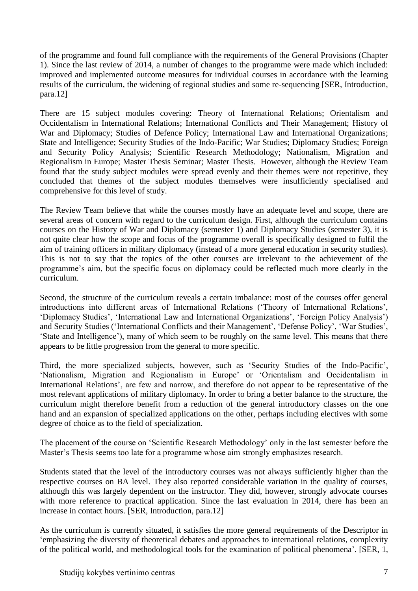of the programme and found full compliance with the requirements of the General Provisions (Chapter 1). Since the last review of 2014, a number of changes to the programme were made which included: improved and implemented outcome measures for individual courses in accordance with the learning results of the curriculum, the widening of regional studies and some re-sequencing [SER, Introduction, para.12]

There are 15 subject modules covering: Theory of International Relations; Orientalism and Occidentalism in International Relations; International Conflicts and Their Management; History of War and Diplomacy; Studies of Defence Policy; International Law and International Organizations; State and Intelligence; Security Studies of the Indo-Pacific; War Studies; Diplomacy Studies; Foreign and Security Policy Analysis; Scientific Research Methodology; Nationalism, Migration and Regionalism in Europe; Master Thesis Seminar; Master Thesis. However, although the Review Team found that the study subject modules were spread evenly and their themes were not repetitive, they concluded that themes of the subject modules themselves were insufficiently specialised and comprehensive for this level of study.

The Review Team believe that while the courses mostly have an adequate level and scope, there are several areas of concern with regard to the curriculum design. First, although the curriculum contains courses on the History of War and Diplomacy (semester 1) and Diplomacy Studies (semester 3), it is not quite clear how the scope and focus of the programme overall is specifically designed to fulfil the aim of training officers in military diplomacy (instead of a more general education in security studies). This is not to say that the topics of the other courses are irrelevant to the achievement of the programme's aim, but the specific focus on diplomacy could be reflected much more clearly in the curriculum.

Second, the structure of the curriculum reveals a certain imbalance: most of the courses offer general introductions into different areas of International Relations ('Theory of International Relations', 'Diplomacy Studies', 'International Law and International Organizations', 'Foreign Policy Analysis') and Security Studies ('International Conflicts and their Management', 'Defense Policy', 'War Studies', 'State and Intelligence'), many of which seem to be roughly on the same level. This means that there appears to be little progression from the general to more specific.

Third, the more specialized subjects, however, such as 'Security Studies of the Indo-Pacific', 'Nationalism, Migration and Regionalism in Europe' or 'Orientalism and Occidentalism in International Relations', are few and narrow, and therefore do not appear to be representative of the most relevant applications of military diplomacy. In order to bring a better balance to the structure, the curriculum might therefore benefit from a reduction of the general introductory classes on the one hand and an expansion of specialized applications on the other, perhaps including electives with some degree of choice as to the field of specialization.

The placement of the course on 'Scientific Research Methodology' only in the last semester before the Master's Thesis seems too late for a programme whose aim strongly emphasizes research.

Students stated that the level of the introductory courses was not always sufficiently higher than the respective courses on BA level. They also reported considerable variation in the quality of courses, although this was largely dependent on the instructor. They did, however, strongly advocate courses with more reference to practical application. Since the last evaluation in 2014, there has been an increase in contact hours. [SER, Introduction, para.12]

As the curriculum is currently situated, it satisfies the more general requirements of the Descriptor in 'emphasizing the diversity of theoretical debates and approaches to international relations, complexity of the political world, and methodological tools for the examination of political phenomena'. [SER, 1,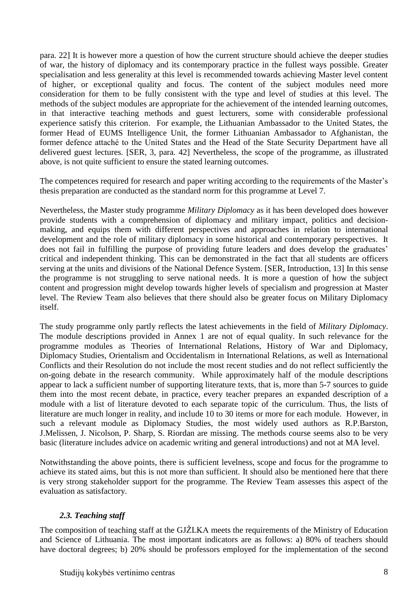para. 22] It is however more a question of how the current structure should achieve the deeper studies of war, the history of diplomacy and its contemporary practice in the fullest ways possible. Greater specialisation and less generality at this level is recommended towards achieving Master level content of higher, or exceptional quality and focus. The content of the subject modules need more consideration for them to be fully consistent with the type and level of studies at this level. The methods of the subject modules are appropriate for the achievement of the intended learning outcomes, in that interactive teaching methods and guest lecturers, some with considerable professional experience satisfy this criterion. For example, the Lithuanian Ambassador to the United States, the former Head of EUMS Intelligence Unit, the former Lithuanian Ambassador to Afghanistan, the former defence attaché to the United States and the Head of the State Security Department have all delivered guest lectures. [SER, 3, para. 42] Nevertheless, the scope of the programme, as illustrated above, is not quite sufficient to ensure the stated learning outcomes.

The competences required for research and paper writing according to the requirements of the Master's thesis preparation are conducted as the standard norm for this programme at Level 7.

Nevertheless, the Master study programme *Military Diplomacy* as it has been developed does however provide students with a comprehension of diplomacy and military impact, politics and decisionmaking, and equips them with different perspectives and approaches in relation to international development and the role of military diplomacy in some historical and contemporary perspectives. It does not fail in fulfilling the purpose of providing future leaders and does develop the graduates' critical and independent thinking. This can be demonstrated in the fact that all students are officers serving at the units and divisions of the National Defence System. [SER, Introduction, 13] In this sense the programme is not struggling to serve national needs. It is more a question of how the subject content and progression might develop towards higher levels of specialism and progression at Master level. The Review Team also believes that there should also be greater focus on Military Diplomacy itself.

The study programme only partly reflects the latest achievements in the field of *Military Diplomacy*. The module descriptions provided in Annex 1 are not of equal quality. In such relevance for the programme modules as Theories of International Relations, History of War and Diplomacy, Diplomacy Studies, Orientalism and Occidentalism in International Relations, as well as International Conflicts and their Resolution do not include the most recent studies and do not reflect sufficiently the on-going debate in the research community. While approximately half of the module descriptions appear to lack a sufficient number of supporting literature texts, that is, more than 5-7 sources to guide them into the most recent debate, in practice, every teacher prepares an expanded description of a module with a list of literature devoted to each separate topic of the curriculum. Thus, the lists of literature are much longer in reality, and include 10 to 30 items or more for each module. However, in such a relevant module as Diplomacy Studies, the most widely used authors as R.P.Barston, J.Melissen, J. Nicolson, P. Sharp, S. Riordan are missing. The methods course seems also to be very basic (literature includes advice on academic writing and general introductions) and not at MA level.

Notwithstanding the above points, there is sufficient levelness, scope and focus for the programme to achieve its stated aims, but this is not more than sufficient. It should also be mentioned here that there is very strong stakeholder support for the programme. The Review Team assesses this aspect of the evaluation as satisfactory.

#### <span id="page-7-0"></span>*2.3. Teaching staff*

The composition of teaching staff at the GJŽLKA meets the requirements of the Ministry of Education and Science of Lithuania. The most important indicators are as follows: a) 80% of teachers should have doctoral degrees; b) 20% should be professors employed for the implementation of the second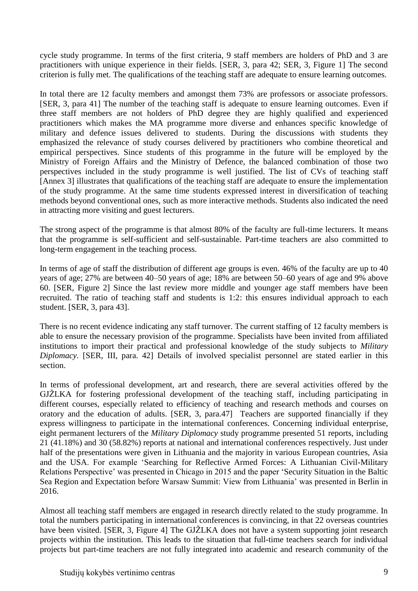cycle study programme. In terms of the first criteria, 9 staff members are holders of PhD and 3 are practitioners with unique experience in their fields. [SER, 3, para 42; SER, 3, Figure 1] The second criterion is fully met. The qualifications of the teaching staff are adequate to ensure learning outcomes.

In total there are 12 faculty members and amongst them 73% are professors or associate professors. [SER, 3, para 41] The number of the teaching staff is adequate to ensure learning outcomes. Even if three staff members are not holders of PhD degree they are highly qualified and experienced practitioners which makes the MA programme more diverse and enhances specific knowledge of military and defence issues delivered to students. During the discussions with students they emphasized the relevance of study courses delivered by practitioners who combine theoretical and empirical perspectives. Since students of this programme in the future will be employed by the Ministry of Foreign Affairs and the Ministry of Defence, the balanced combination of those two perspectives included in the study programme is well justified. The list of CVs of teaching staff [Annex 3] illustrates that qualifications of the teaching staff are adequate to ensure the implementation of the study programme. At the same time students expressed interest in diversification of teaching methods beyond conventional ones, such as more interactive methods. Students also indicated the need in attracting more visiting and guest lecturers.

The strong aspect of the programme is that almost 80% of the faculty are full-time lecturers. It means that the programme is self-sufficient and self-sustainable. Part-time teachers are also committed to long-term engagement in the teaching process.

In terms of age of staff the distribution of different age groups is even. 46% of the faculty are up to 40 years of age; 27% are between 40–50 years of age; 18% are between 50–60 years of age and 9% above 60. [SER, Figure 2] Since the last review more middle and younger age staff members have been recruited. The ratio of teaching staff and students is 1:2: this ensures individual approach to each student. [SER, 3, para 43].

There is no recent evidence indicating any staff turnover. The current staffing of 12 faculty members is able to ensure the necessary provision of the programme. Specialists have been invited from affiliated institutions to import their practical and professional knowledge of the study subjects to *Military Diplomacy.* [SER, III, para. 42] Details of involved specialist personnel are stated earlier in this section.

In terms of professional development, art and research, there are several activities offered by the GJŽLKA for fostering professional development of the teaching staff, including participating in different courses, especially related to efficiency of teaching and research methods and courses on oratory and the education of adults. [SER, 3, para.47] Teachers are supported financially if they express willingness to participate in the international conferences. Concerning individual enterprise, eight permanent lecturers of the *Military Diplomacy* study programme presented 51 reports, including 21 (41.18%) and 30 (58.82%) reports at national and international conferences respectively. Just under half of the presentations were given in Lithuania and the majority in various European countries, Asia and the USA. For example 'Searching for Reflective Armed Forces: A Lithuanian Civil-Military Relations Perspective' was presented in Chicago in 2015 and the paper 'Security Situation in the Baltic Sea Region and Expectation before Warsaw Summit: View from Lithuania' was presented in Berlin in 2016.

Almost all teaching staff members are engaged in research directly related to the study programme. In total the numbers participating in international conferences is convincing, in that 22 overseas countries have been visited. [SER, 3, Figure 4] The GJŽLKA does not have a system supporting joint research projects within the institution. This leads to the situation that full-time teachers search for individual projects but part-time teachers are not fully integrated into academic and research community of the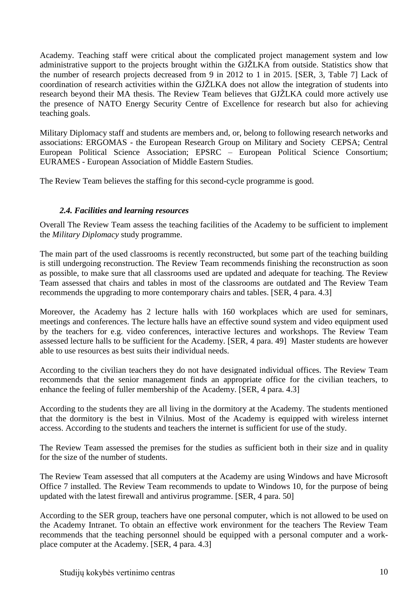Academy. Teaching staff were critical about the complicated project management system and low administrative support to the projects brought within the GJŽLKA from outside. Statistics show that the number of research projects decreased from 9 in 2012 to 1 in 2015. [SER, 3, Table 7] Lack of coordination of research activities within the GJŽLKA does not allow the integration of students into research beyond their MA thesis. The Review Team believes that GJŽLKA could more actively use the presence of NATO Energy Security Centre of Excellence for research but also for achieving teaching goals.

Military Diplomacy staff and students are members and, or, belong to following research networks and associations: ERGOMAS - the European Research Group on Military and Society CEPSA; Central European Political Science Association; EPSRC – European Political Science Consortium; EURAMES - European Association of Middle Eastern Studies.

The Review Team believes the staffing for this second-cycle programme is good.

#### <span id="page-9-0"></span>*2.4. Facilities and learning resources*

Overall The Review Team assess the teaching facilities of the Academy to be sufficient to implement the *Military Diplomacy* study programme.

The main part of the used classrooms is recently reconstructed, but some part of the teaching building is still undergoing reconstruction. The Review Team recommends finishing the reconstruction as soon as possible, to make sure that all classrooms used are updated and adequate for teaching. The Review Team assessed that chairs and tables in most of the classrooms are outdated and The Review Team recommends the upgrading to more contemporary chairs and tables. [SER, 4 para. 4.3]

Moreover, the Academy has 2 lecture halls with 160 workplaces which are used for seminars, meetings and conferences. The lecture halls have an effective sound system and video equipment used by the teachers for e.g. video conferences, interactive lectures and workshops. The Review Team assessed lecture halls to be sufficient for the Academy. [SER, 4 para. 49] Master students are however able to use resources as best suits their individual needs.

According to the civilian teachers they do not have designated individual offices. The Review Team recommends that the senior management finds an appropriate office for the civilian teachers, to enhance the feeling of fuller membership of the Academy. [SER, 4 para. 4.3]

According to the students they are all living in the dormitory at the Academy. The students mentioned that the dormitory is the best in Vilnius. Most of the Academy is equipped with wireless internet access. According to the students and teachers the internet is sufficient for use of the study.

The Review Team assessed the premises for the studies as sufficient both in their size and in quality for the size of the number of students.

The Review Team assessed that all computers at the Academy are using Windows and have Microsoft Office 7 installed. The Review Team recommends to update to Windows 10, for the purpose of being updated with the latest firewall and antivirus programme. [SER, 4 para. 50]

According to the SER group, teachers have one personal computer, which is not allowed to be used on the Academy Intranet. To obtain an effective work environment for the teachers The Review Team recommends that the teaching personnel should be equipped with a personal computer and a workplace computer at the Academy. [SER, 4 para. 4.3]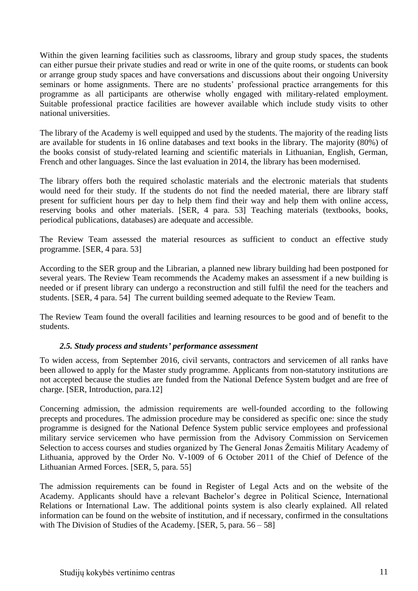Within the given learning facilities such as classrooms, library and group study spaces, the students can either pursue their private studies and read or write in one of the quite rooms, or students can book or arrange group study spaces and have conversations and discussions about their ongoing University seminars or home assignments. There are no students' professional practice arrangements for this programme as all participants are otherwise wholly engaged with military-related employment. Suitable professional practice facilities are however available which include study visits to other national universities.

The library of the Academy is well equipped and used by the students. The majority of the reading lists are available for students in 16 online databases and text books in the library. The majority (80%) of the books consist of study-related learning and scientific materials in Lithuanian, English, German, French and other languages. Since the last evaluation in 2014, the library has been modernised.

The library offers both the required scholastic materials and the electronic materials that students would need for their study. If the students do not find the needed material, there are library staff present for sufficient hours per day to help them find their way and help them with online access, reserving books and other materials. [SER, 4 para. 53] Teaching materials (textbooks, books, periodical publications, databases) are adequate and accessible.

The Review Team assessed the material resources as sufficient to conduct an effective study programme. [SER, 4 para. 53]

According to the SER group and the Librarian, a planned new library building had been postponed for several years. The Review Team recommends the Academy makes an assessment if a new building is needed or if present library can undergo a reconstruction and still fulfil the need for the teachers and students. [SER, 4 para. 54] The current building seemed adequate to the Review Team.

The Review Team found the overall facilities and learning resources to be good and of benefit to the students.

#### <span id="page-10-0"></span>*2.5. Study process and students' performance assessment*

To widen access, from September 2016, civil servants, contractors and servicemen of all ranks have been allowed to apply for the Master study programme. Applicants from non-statutory institutions are not accepted because the studies are funded from the National Defence System budget and are free of charge. [SER, Introduction, para.12]

Concerning admission, the admission requirements are well-founded according to the following precepts and procedures. The admission procedure may be considered as specific one: since the study programme is designed for the National Defence System public service employees and professional military service servicemen who have permission from the Advisory Commission on Servicemen Selection to access courses and studies organized by The General Jonas Žemaitis Military Academy of Lithuania, approved by the Order No. V-1009 of 6 October 2011 of the Chief of Defence of the Lithuanian Armed Forces. [SER, 5, para. 55]

The admission requirements can be found in Register of Legal Acts and on the website of the Academy. Applicants should have a relevant Bachelor's degree in Political Science, International Relations or International Law. The additional points system is also clearly explained. All related information can be found on the website of institution, and if necessary, confirmed in the consultations with The Division of Studies of the Academy. [SER, 5, para.  $56 - 58$ ]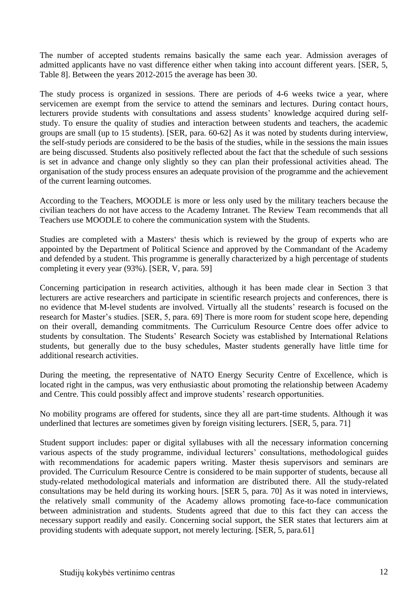The number of accepted students remains basically the same each year. Admission averages of admitted applicants have no vast difference either when taking into account different years. [SER, 5, Table 8]. Between the years 2012-2015 the average has been 30.

The study process is organized in sessions. There are periods of 4-6 weeks twice a year, where servicemen are exempt from the service to attend the seminars and lectures. During contact hours, lecturers provide students with consultations and assess students' knowledge acquired during selfstudy. To ensure the quality of studies and interaction between students and teachers, the academic groups are small (up to 15 students). [SER, para. 60-62] As it was noted by students during interview, the self-study periods are considered to be the basis of the studies, while in the sessions the main issues are being discussed. Students also positively reflected about the fact that the schedule of such sessions is set in advance and change only slightly so they can plan their professional activities ahead. The organisation of the study process ensures an adequate provision of the programme and the achievement of the current learning outcomes.

According to the Teachers, MOODLE is more or less only used by the military teachers because the civilian teachers do not have access to the Academy Intranet. The Review Team recommends that all Teachers use MOODLE to cohere the communication system with the Students.

Studies are completed with a Masters' thesis which is reviewed by the group of experts who are appointed by the Department of Political Science and approved by the Commandant of the Academy and defended by a student. This programme is generally characterized by a high percentage of students completing it every year (93%). [SER, V, para. 59]

Concerning participation in research activities, although it has been made clear in Section 3 that lecturers are active researchers and participate in scientific research projects and conferences, there is no evidence that M-level students are involved. Virtually all the students' research is focused on the research for Master's studies. [SER, 5, para. 69] There is more room for student scope here, depending on their overall, demanding commitments. The Curriculum Resource Centre does offer advice to students by consultation. The Students' Research Society was established by International Relations students, but generally due to the busy schedules, Master students generally have little time for additional research activities.

During the meeting, the representative of NATO Energy Security Centre of Excellence, which is located right in the campus, was very enthusiastic about promoting the relationship between Academy and Centre. This could possibly affect and improve students' research opportunities.

No mobility programs are offered for students, since they all are part-time students. Although it was underlined that lectures are sometimes given by foreign visiting lecturers. [SER, 5, para. 71]

Student support includes: paper or digital syllabuses with all the necessary information concerning various aspects of the study programme, individual lecturers' consultations, methodological guides with recommendations for academic papers writing. Master thesis supervisors and seminars are provided. The Curriculum Resource Centre is considered to be main supporter of students, because all study-related methodological materials and information are distributed there. All the study-related consultations may be held during its working hours. [SER 5, para. 70] As it was noted in interviews, the relatively small community of the Academy allows promoting face-to-face communication between administration and students. Students agreed that due to this fact they can access the necessary support readily and easily. Concerning social support, the SER states that lecturers aim at providing students with adequate support, not merely lecturing. [SER, 5, para.61]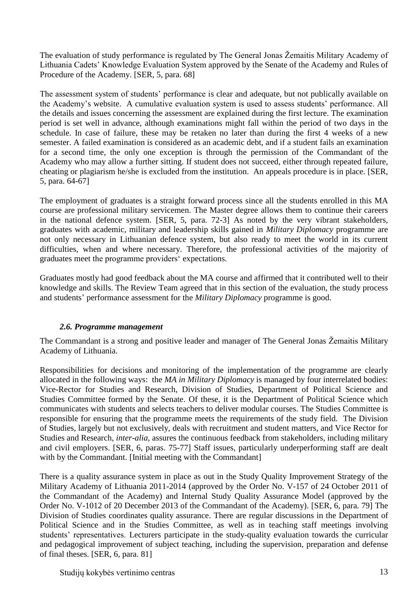The evaluation of study performance is regulated by The General Jonas Žemaitis Military Academy of Lithuania Cadets' Knowledge Evaluation System approved by the Senate of the Academy and Rules of Procedure of the Academy. [SER, 5, para. 68]

The assessment system of students' performance is clear and adequate, but not publically available on the Academy's website. A cumulative evaluation system is used to assess students' performance. All the details and issues concerning the assessment are explained during the first lecture. The examination period is set well in advance, although examinations might fall within the period of two days in the schedule. In case of failure, these may be retaken no later than during the first 4 weeks of a new semester. A failed examination is considered as an academic debt, and if a student fails an examination for a second time, the only one exception is through the permission of the Commandant of the Academy who may allow a further sitting. If student does not succeed, either through repeated failure, cheating or plagiarism he/she is excluded from the institution. An appeals procedure is in place. [SER, 5, para. 64-67]

The employment of graduates is a straight forward process since all the students enrolled in this MA course are professional military servicemen. The Master degree allows them to continue their careers in the national defence system. [SER, 5, para. 72-3] As noted by the very vibrant stakeholders, graduates with academic, military and leadership skills gained in *Military Diplomacy* programme are not only necessary in Lithuanian defence system, but also ready to meet the world in its current difficulties, when and where necessary. Therefore, the professional activities of the majority of graduates meet the programme providers' expectations.

Graduates mostly had good feedback about the MA course and affirmed that it contributed well to their knowledge and skills. The Review Team agreed that in this section of the evaluation, the study process and students' performance assessment for the *Military Diplomacy* programme is good.

#### <span id="page-12-0"></span>*2.6. Programme management*

The Commandant is a strong and positive leader and manager of The General Jonas Žemaitis Military Academy of Lithuania.

Responsibilities for decisions and monitoring of the implementation of the programme are clearly allocated in the following ways: the *MA in Military Diplomacy* is managed by four interrelated bodies: Vice-Rector for Studies and Research, Division of Studies, Department of Political Science and Studies Committee formed by the Senate. Of these, it is the Department of Political Science which communicates with students and selects teachers to deliver modular courses. The Studies Committee is responsible for ensuring that the programme meets the requirements of the study field. The Division of Studies, largely but not exclusively, deals with recruitment and student matters, and Vice Rector for Studies and Research, *inter-alia,* assures the continuous feedback from stakeholders, including military and civil employers. [SER, 6, paras. 75-77] Staff issues, particularly underperforming staff are dealt with by the Commandant. [Initial meeting with the Commandant]

There is a quality assurance system in place as out in the Study Quality Improvement Strategy of the Military Academy of Lithuania 2011-2014 (approved by the Order No. V-157 of 24 October 2011 of the Commandant of the Academy) and Internal Study Quality Assurance Model (approved by the Order No. V-1012 of 20 December 2013 of the Commandant of the Academy). [SER, 6, para. 79] The Division of Studies coordinates quality assurance. There are regular discussions in the Department of Political Science and in the Studies Committee, as well as in teaching staff meetings involving students' representatives. Lecturers participate in the study-quality evaluation towards the curricular and pedagogical improvement of subject teaching, including the supervision, preparation and defense of final theses. [SER, 6, para. 81]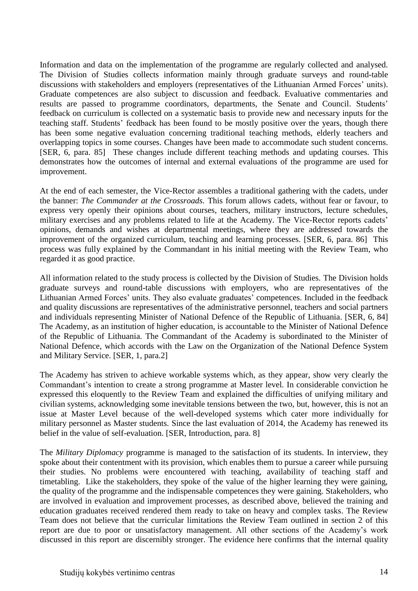Information and data on the implementation of the programme are regularly collected and analysed. The Division of Studies collects information mainly through graduate surveys and round-table discussions with stakeholders and employers (representatives of the Lithuanian Armed Forces' units). Graduate competences are also subject to discussion and feedback. Evaluative commentaries and results are passed to programme coordinators, departments, the Senate and Council. Students' feedback on curriculum is collected on a systematic basis to provide new and necessary inputs for the teaching staff. Students' feedback has been found to be mostly positive over the years, though there has been some negative evaluation concerning traditional teaching methods, elderly teachers and overlapping topics in some courses. Changes have been made to accommodate such student concerns. [SER, 6, para. 85] These changes include different teaching methods and updating courses. This demonstrates how the outcomes of internal and external evaluations of the programme are used for improvement.

At the end of each semester, the Vice-Rector assembles a traditional gathering with the cadets, under the banner: *The Commander at the Crossroads.* This forum allows cadets, without fear or favour, to express very openly their opinions about courses, teachers, military instructors, lecture schedules, military exercises and any problems related to life at the Academy. The Vice-Rector reports cadets' opinions, demands and wishes at departmental meetings, where they are addressed towards the improvement of the organized curriculum, teaching and learning processes. [SER, 6, para. 86] This process was fully explained by the Commandant in his initial meeting with the Review Team, who regarded it as good practice.

All information related to the study process is collected by the Division of Studies. The Division holds graduate surveys and round-table discussions with employers, who are representatives of the Lithuanian Armed Forces' units. They also evaluate graduates' competences. Included in the feedback and quality discussions are representatives of the administrative personnel, teachers and social partners and individuals representing Minister of National Defence of the Republic of Lithuania. [SER, 6, 84] The Academy, as an institution of higher education, is accountable to the Minister of National Defence of the Republic of Lithuania. The Commandant of the Academy is subordinated to the Minister of National Defence, which accords with the Law on the Organization of the National Defence System and Military Service. [SER, 1, para.2]

The Academy has striven to achieve workable systems which, as they appear, show very clearly the Commandant's intention to create a strong programme at Master level. In considerable conviction he expressed this eloquently to the Review Team and explained the difficulties of unifying military and civilian systems, acknowledging some inevitable tensions between the two, but, however, this is not an issue at Master Level because of the well-developed systems which cater more individually for military personnel as Master students. Since the last evaluation of 2014, the Academy has renewed its belief in the value of self-evaluation. [SER, Introduction, para. 8]

The *Military Diplomacy* programme is managed to the satisfaction of its students. In interview, they spoke about their contentment with its provision, which enables them to pursue a career while pursuing their studies. No problems were encountered with teaching, availability of teaching staff and timetabling. Like the stakeholders, they spoke of the value of the higher learning they were gaining, the quality of the programme and the indispensable competences they were gaining. Stakeholders, who are involved in evaluation and improvement processes, as described above, believed the training and education graduates received rendered them ready to take on heavy and complex tasks. The Review Team does not believe that the curricular limitations the Review Team outlined in section 2 of this report are due to poor or unsatisfactory management. All other sections of the Academy's work discussed in this report are discernibly stronger. The evidence here confirms that the internal quality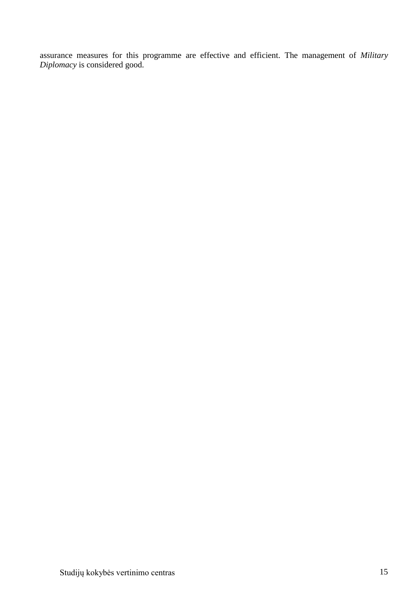<span id="page-14-0"></span>assurance measures for this programme are effective and efficient. The management of *Military Diplomacy* is considered good.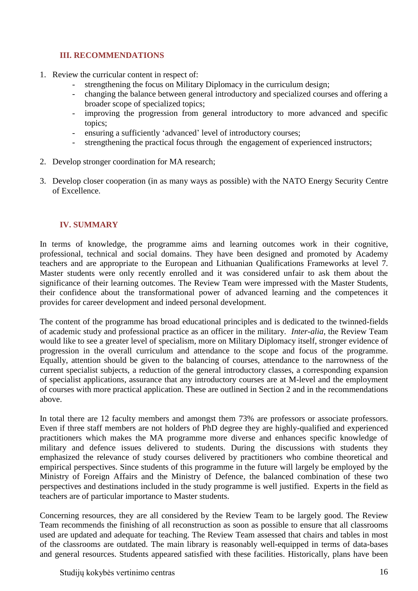# **III. RECOMMENDATIONS**

- 1. Review the curricular content in respect of:
	- strengthening the focus on Military Diplomacy in the curriculum design;
	- changing the balance between general introductory and specialized courses and offering a broader scope of specialized topics;
	- improving the progression from general introductory to more advanced and specific topics;
	- ensuring a sufficiently 'advanced' level of introductory courses;
	- strengthening the practical focus through the engagement of experienced instructors;
- 2. Develop stronger coordination for MA research;
- 3. Develop closer cooperation (in as many ways as possible) with the NATO Energy Security Centre of Excellence.

#### <span id="page-15-0"></span>**IV. SUMMARY**

In terms of knowledge, the programme aims and learning outcomes work in their cognitive, professional, technical and social domains. They have been designed and promoted by Academy teachers and are appropriate to the European and Lithuanian Qualifications Frameworks at level 7. Master students were only recently enrolled and it was considered unfair to ask them about the significance of their learning outcomes. The Review Team were impressed with the Master Students, their confidence about the transformational power of advanced learning and the competences it provides for career development and indeed personal development.

The content of the programme has broad educational principles and is dedicated to the twinned-fields of academic study and professional practice as an officer in the military. *Inter-alia,* the Review Team would like to see a greater level of specialism, more on Military Diplomacy itself, stronger evidence of progression in the overall curriculum and attendance to the scope and focus of the programme. Equally, attention should be given to the balancing of courses, attendance to the narrowness of the current specialist subjects, a reduction of the general introductory classes, a corresponding expansion of specialist applications, assurance that any introductory courses are at M-level and the employment of courses with more practical application. These are outlined in Section 2 and in the recommendations above.

In total there are 12 faculty members and amongst them 73% are professors or associate professors. Even if three staff members are not holders of PhD degree they are highly-qualified and experienced practitioners which makes the MA programme more diverse and enhances specific knowledge of military and defence issues delivered to students. During the discussions with students they emphasized the relevance of study courses delivered by practitioners who combine theoretical and empirical perspectives. Since students of this programme in the future will largely be employed by the Ministry of Foreign Affairs and the Ministry of Defence, the balanced combination of these two perspectives and destinations included in the study programme is well justified. Experts in the field as teachers are of particular importance to Master students.

Concerning resources, they are all considered by the Review Team to be largely good. The Review Team recommends the finishing of all reconstruction as soon as possible to ensure that all classrooms used are updated and adequate for teaching. The Review Team assessed that chairs and tables in most of the classrooms are outdated. The main library is reasonably well-equipped in terms of data-bases and general resources. Students appeared satisfied with these facilities. Historically, plans have been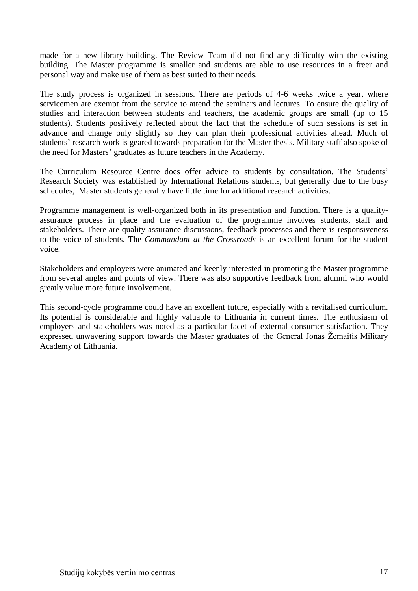made for a new library building. The Review Team did not find any difficulty with the existing building. The Master programme is smaller and students are able to use resources in a freer and personal way and make use of them as best suited to their needs.

The study process is organized in sessions. There are periods of 4-6 weeks twice a year, where servicemen are exempt from the service to attend the seminars and lectures. To ensure the quality of studies and interaction between students and teachers, the academic groups are small (up to 15 students). Students positively reflected about the fact that the schedule of such sessions is set in advance and change only slightly so they can plan their professional activities ahead. Much of students' research work is geared towards preparation for the Master thesis. Military staff also spoke of the need for Masters' graduates as future teachers in the Academy.

The Curriculum Resource Centre does offer advice to students by consultation. The Students' Research Society was established by International Relations students, but generally due to the busy schedules, Master students generally have little time for additional research activities.

Programme management is well-organized both in its presentation and function. There is a qualityassurance process in place and the evaluation of the programme involves students, staff and stakeholders. There are quality-assurance discussions, feedback processes and there is responsiveness to the voice of students. The *Commandant at the Crossroads* is an excellent forum for the student voice.

Stakeholders and employers were animated and keenly interested in promoting the Master programme from several angles and points of view. There was also supportive feedback from alumni who would greatly value more future involvement.

This second-cycle programme could have an excellent future, especially with a revitalised curriculum. Its potential is considerable and highly valuable to Lithuania in current times. The enthusiasm of employers and stakeholders was noted as a particular facet of external consumer satisfaction. They expressed unwavering support towards the Master graduates of the General Jonas Žemaitis Military Academy of Lithuania.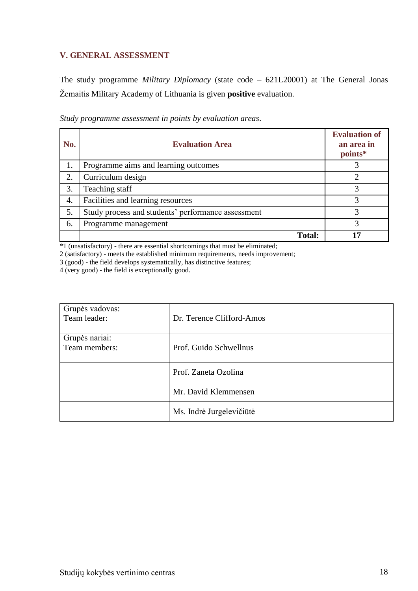## <span id="page-17-0"></span>**V. GENERAL ASSESSMENT**

The study programme *Military Diplomacy* (state code – 621L20001) at The General Jonas Žemaitis Military Academy of Lithuania is given **positive** evaluation.

| No. | <b>Evaluation Area</b>                             | <b>Evaluation of</b><br>an area in<br>points* |
|-----|----------------------------------------------------|-----------------------------------------------|
|     | Programme aims and learning outcomes               |                                               |
| 2.  | Curriculum design                                  |                                               |
| 3.  | Teaching staff                                     | 3                                             |
| 4.  | Facilities and learning resources                  | 3                                             |
| 5.  | Study process and students' performance assessment | 3                                             |
| 6.  | Programme management                               | 3                                             |
|     | <b>Total:</b>                                      |                                               |

*Study programme assessment in points by evaluation areas*.

\*1 (unsatisfactory) - there are essential shortcomings that must be eliminated;

2 (satisfactory) - meets the established minimum requirements, needs improvement;

3 (good) - the field develops systematically, has distinctive features;

4 (very good) - the field is exceptionally good.

| Grupės vadovas:<br>Team leader: | Dr. Terence Clifford-Amos |
|---------------------------------|---------------------------|
| Grupės nariai:<br>Team members: | Prof. Guido Schwellnus    |
|                                 | Prof. Zaneta Ozolina      |
|                                 | Mr. David Klemmensen      |
|                                 | Ms. Indrė Jurgelevičiūtė  |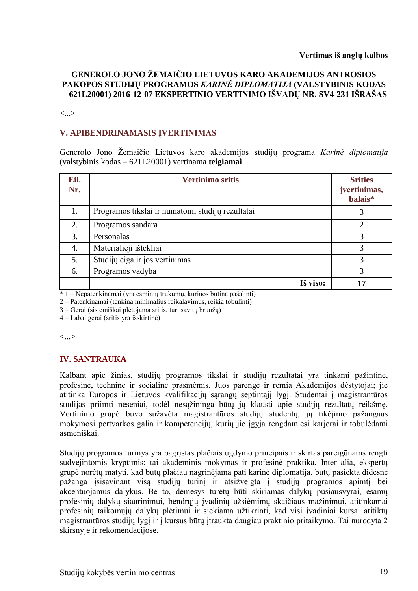#### **GENEROLO JONO ŽEMAIČIO LIETUVOS KARO AKADEMIJOS ANTROSIOS PAKOPOS STUDIJŲ PROGRAMOS** *KARINĖ DIPLOMATIJA* **(VALSTYBINIS KODAS – 621L20001) 2016-12-07 EKSPERTINIO VERTINIMO IŠVADŲ NR. SV4-231 IŠRAŠAS**

<...>

#### **V. APIBENDRINAMASIS ĮVERTINIMAS**

Generolo Jono Žemaičio Lietuvos karo akademijos studijų programa *Karinė diplomatija*  (valstybinis kodas – 621L20001) vertinama **teigiamai**.

| Eil.<br>Nr. | <b>Vertinimo sritis</b>                          | <b>Srities</b><br>įvertinimas,<br>balais* |
|-------------|--------------------------------------------------|-------------------------------------------|
| 1.          | Programos tikslai ir numatomi studijų rezultatai | 3                                         |
| 2.          | Programos sandara                                | 2                                         |
| 3.          | Personalas                                       | 3                                         |
| 4.          | Materialieji ištekliai                           | 3                                         |
| 5.          | Studijų eiga ir jos vertinimas                   | 3                                         |
| 6.          | Programos vadyba                                 | 3                                         |
|             | Iš viso:                                         | 17                                        |

\* 1 – Nepatenkinamai (yra esminių trūkumų, kuriuos būtina pašalinti)

2 – Patenkinamai (tenkina minimalius reikalavimus, reikia tobulinti)

3 – Gerai (sistemiškai plėtojama sritis, turi savitų bruožų)

4 – Labai gerai (sritis yra išskirtinė)

<...>

#### **IV. SANTRAUKA**

Kalbant apie žinias, studijų programos tikslai ir studijų rezultatai yra tinkami pažintine, profesine, technine ir socialine prasmėmis. Juos parengė ir remia Akademijos dėstytojai; jie atitinka Europos ir Lietuvos kvalifikacijų sąrangų septintąjį lygį. Studentai į magistrantūros studijas priimti neseniai, todėl nesąžininga būtų jų klausti apie studijų rezultatų reikšmę. Vertinimo grupė buvo sužavėta magistrantūros studijų studentų, jų tikėjimo pažangaus mokymosi pertvarkos galia ir kompetencijų, kurių jie įgyja rengdamiesi karjerai ir tobulėdami asmeniškai.

Studijų programos turinys yra pagrįstas plačiais ugdymo principais ir skirtas pareigūnams rengti sudvejintomis kryptimis: tai akademinis mokymas ir profesinė praktika. Inter alia, ekspertų grupė norėtų matyti, kad būtų plačiau nagrinėjama pati karinė diplomatija, būtų pasiekta didesnė pažanga įsisavinant visą studijų turinį ir atsižvelgta į studijų programos apimtį bei akcentuojamus dalykus. Be to, dėmesys turėtų būti skiriamas dalykų pusiausvyrai, esamų profesinių dalykų siaurinimui, bendrųjų įvadinių užsiėmimų skaičiaus mažinimui, atitinkamai profesinių taikomųjų dalykų plėtimui ir siekiama užtikrinti, kad visi įvadiniai kursai atitiktų magistrantūros studijų lygį ir į kursus būtų įtraukta daugiau praktinio pritaikymo. Tai nurodyta 2 skirsnyje ir rekomendacijose.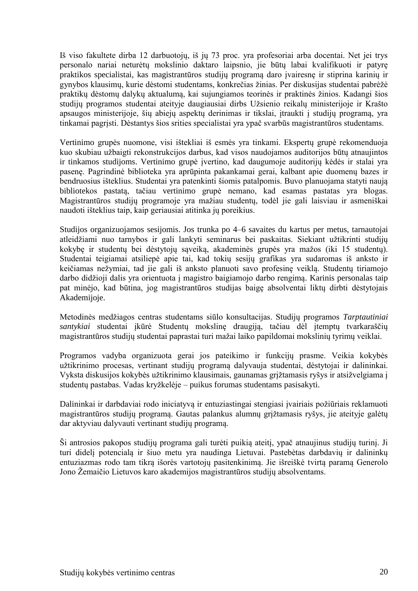Iš viso fakultete dirba 12 darbuotojų, iš jų 73 proc. yra profesoriai arba docentai. Net jei trys personalo nariai neturėtų mokslinio daktaro laipsnio, jie būtų labai kvalifikuoti ir patyrę praktikos specialistai, kas magistrantūros studijų programą daro įvairesnę ir stiprina karinių ir gynybos klausimų, kurie dėstomi studentams, konkrečias žinias. Per diskusijas studentai pabrėžė praktikų dėstomų dalykų aktualumą, kai sujungiamos teorinės ir praktinės žinios. Kadangi šios studijų programos studentai ateityje daugiausiai dirbs Užsienio reikalų ministerijoje ir Krašto apsaugos ministerijoje, šių abiejų aspektų derinimas ir tikslai, įtraukti į studijų programą, yra tinkamai pagrįsti. Dėstantys šios srities specialistai yra ypač svarbūs magistrantūros studentams.

Vertinimo grupės nuomone, visi ištekliai iš esmės yra tinkami. Ekspertų grupė rekomenduoja kuo skubiau užbaigti rekonstrukcijos darbus, kad visos naudojamos auditorijos būtų atnaujintos ir tinkamos studijoms. Vertinimo grupė įvertino, kad daugumoje auditorijų kėdės ir stalai yra pasenę. Pagrindinė biblioteka yra aprūpinta pakankamai gerai, kalbant apie duomenų bazes ir bendruosius išteklius. Studentai yra patenkinti šiomis patalpomis. Buvo planuojama statyti naują bibliotekos pastatą, tačiau vertinimo grupė nemano, kad esamas pastatas yra blogas. Magistrantūros studijų programoje yra mažiau studentų, todėl jie gali laisviau ir asmeniškai naudoti išteklius taip, kaip geriausiai atitinka jų poreikius.

Studijos organizuojamos sesijomis. Jos trunka po 4–6 savaites du kartus per metus, tarnautojai atleidžiami nuo tarnybos ir gali lankyti seminarus bei paskaitas. Siekiant užtikrinti studijų kokybę ir studentų bei dėstytojų sąveiką, akademinės grupės yra mažos (iki 15 studentų). Studentai teigiamai atsiliepė apie tai, kad tokių sesijų grafikas yra sudaromas iš anksto ir keičiamas nežymiai, tad jie gali iš anksto planuoti savo profesinę veiklą. Studentų tiriamojo darbo didžioji dalis yra orientuota į magistro baigiamojo darbo rengimą. Karinis personalas taip pat minėjo, kad būtina, jog magistrantūros studijas baigę absolventai liktų dirbti dėstytojais Akademijoje.

Metodinės medžiagos centras studentams siūlo konsultacijas. Studijų programos *Tarptautiniai santykiai* studentai įkūrė Studentų mokslinę draugiją, tačiau dėl įtemptų tvarkaraščių magistrantūros studijų studentai paprastai turi mažai laiko papildomai mokslinių tyrimų veiklai.

Programos vadyba organizuota gerai jos pateikimo ir funkcijų prasme. Veikia kokybės užtikrinimo procesas, vertinant studijų programą dalyvauja studentai, dėstytojai ir dalininkai. Vyksta diskusijos kokybės užtikrinimo klausimais, gaunamas grįžtamasis ryšys ir atsižvelgiama į studentų pastabas. Vadas kryžkelėje – puikus forumas studentams pasisakyti.

Dalininkai ir darbdaviai rodo iniciatyvą ir entuziastingai stengiasi įvairiais požiūriais reklamuoti magistrantūros studijų programą. Gautas palankus alumnų grįžtamasis ryšys, jie ateityje galėtų dar aktyviau dalyvauti vertinant studijų programą.

Ši antrosios pakopos studijų programa gali turėti puikią ateitį, ypač atnaujinus studijų turinį. Ji turi didelį potencialą ir šiuo metu yra naudinga Lietuvai. Pastebėtas darbdavių ir dalininkų entuziazmas rodo tam tikrą išorės vartotojų pasitenkinimą. Jie išreiškė tvirtą paramą Generolo Jono Žemaičio Lietuvos karo akademijos magistrantūros studijų absolventams.